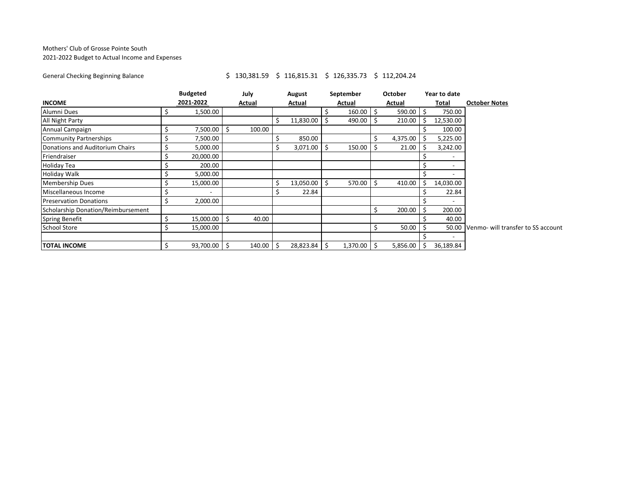## Mothers' Club of Grosse Pointe South 2021-2022 Budget to Actual Income and Expenses

## General Checking Beginning Balance <br>
\$ 130,381.59 \$ 116,815.31 \$ 126,335.73 \$ 112,204.24

|                                    |  | <b>Budgeted</b>          |    | July   | August        | September | <b>October</b> | Year to date |                                          |
|------------------------------------|--|--------------------------|----|--------|---------------|-----------|----------------|--------------|------------------------------------------|
| <b>INCOME</b>                      |  | 2021-2022                |    | Actual | Actual        | Actual    | Actual         | Total        | <b>October Notes</b>                     |
| Alumni Dues                        |  | 1,500.00                 |    |        |               | 160.00    | 590.00         | 750.00       |                                          |
| All Night Party                    |  |                          |    |        | 11,830.00     | 490.00    | 210.00         | 12,530.00    |                                          |
| Annual Campaign                    |  | 7,500.00                 |    | 100.00 |               |           |                | 100.00       |                                          |
| <b>Community Partnerships</b>      |  | 7,500.00                 |    |        | 850.00        |           | 4,375.00       | 5,225.00     |                                          |
| Donations and Auditorium Chairs    |  | 5,000.00                 |    |        | $3,071.00$ \$ | 150.00    | 21.00          | 3,242.00     |                                          |
| Friendraiser                       |  | 20,000.00                |    |        |               |           |                |              |                                          |
| <b>Holiday Tea</b>                 |  | 200.00                   |    |        |               |           |                |              |                                          |
| Holiday Walk                       |  | 5,000.00                 |    |        |               |           |                |              |                                          |
| <b>Membership Dues</b>             |  | 15,000.00                |    |        | 13,050.00     | 570.00    | 410.00         | 14,030.00    |                                          |
| Miscellaneous Income               |  | $\overline{\phantom{a}}$ |    |        | 22.84         |           |                | 22.84        |                                          |
| <b>Preservation Donations</b>      |  | 2,000.00                 |    |        |               |           |                |              |                                          |
| Scholarship Donation/Reimbursement |  |                          |    |        |               |           | 200.00         | 200.00       |                                          |
| <b>Spring Benefit</b>              |  | 15,000.00                | -5 | 40.00  |               |           |                | 40.00        |                                          |
| <b>School Store</b>                |  | 15,000.00                |    |        |               |           | 50.00          |              | 50.00 Venmo- will transfer to SS account |
|                                    |  |                          |    |        |               |           |                |              |                                          |
| <b>TOTAL INCOME</b>                |  | 93,700.00 \$             |    | 140.00 | 28,823.84 \$  | 1,370.00  | 5,856.00       | 36,189.84    |                                          |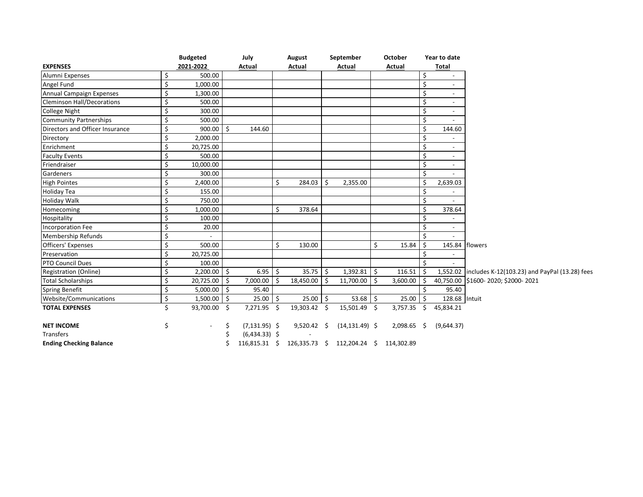|                                   |    | <b>Budgeted</b> |                     | July<br>Actual   |    | August        |    | September                                            |     | <b>October</b> |    | Year to date             |                                                        |
|-----------------------------------|----|-----------------|---------------------|------------------|----|---------------|----|------------------------------------------------------|-----|----------------|----|--------------------------|--------------------------------------------------------|
| <b>EXPENSES</b>                   |    | 2021-2022       |                     |                  |    | Actual        |    | Actual                                               |     | Actual         |    | Total                    |                                                        |
| Alumni Expenses                   | \$ | 500.00          |                     |                  |    |               |    |                                                      |     |                | \$ |                          |                                                        |
| Angel Fund                        | \$ | 1,000.00        |                     |                  |    |               |    |                                                      |     |                | \$ | $\sim$                   |                                                        |
| Annual Campaign Expenses          | \$ | 1,300.00        |                     |                  |    |               |    |                                                      |     |                | Ś  | $\overline{\phantom{a}}$ |                                                        |
| <b>Cleminson Hall/Decorations</b> | \$ | 500.00          |                     |                  |    |               |    |                                                      |     |                | Ś  | $\overline{\phantom{a}}$ |                                                        |
| <b>College Night</b>              | \$ | 300.00          |                     |                  |    |               |    |                                                      |     |                | \$ | $\overline{\phantom{a}}$ |                                                        |
| <b>Community Partnerships</b>     | \$ | 500.00          |                     |                  |    |               |    |                                                      |     |                | \$ |                          |                                                        |
| Directors and Officer Insurance   | \$ | 900.00          | $\zeta$             | 144.60           |    |               |    |                                                      |     |                | \$ | 144.60                   |                                                        |
| Directory                         | \$ | 2,000.00        |                     |                  |    |               |    |                                                      |     |                | Ś  |                          |                                                        |
| Enrichment                        | \$ | 20,725.00       |                     |                  |    |               |    |                                                      |     |                | \$ | $\overline{\phantom{a}}$ |                                                        |
| <b>Faculty Events</b>             | Ś  | 500.00          |                     |                  |    |               |    |                                                      |     |                | \$ | $\overline{\phantom{a}}$ |                                                        |
| Friendraiser                      | \$ | 10,000.00       |                     |                  |    |               |    |                                                      |     |                | \$ | $\overline{\phantom{a}}$ |                                                        |
| Gardeners                         | \$ | 300.00          |                     |                  |    |               |    |                                                      |     |                | \$ |                          |                                                        |
| <b>High Pointes</b>               | \$ | 2,400.00        |                     |                  | \$ | 284.03        | \$ | 2,355.00                                             |     |                | Ś  | 2,639.03                 |                                                        |
| Holiday Tea                       | Ś  | 155.00          |                     |                  |    |               |    |                                                      |     |                | Ś  |                          |                                                        |
| <b>Holiday Walk</b>               | \$ | 750.00          |                     |                  |    |               |    |                                                      |     |                | \$ |                          |                                                        |
| Homecoming                        | \$ | 1,000.00        |                     |                  | Ś. | 378.64        |    |                                                      |     |                | Ś  | 378.64                   |                                                        |
| Hospitality                       | Ś  | 100.00          |                     |                  |    |               |    |                                                      |     |                | Ś  |                          |                                                        |
| Incorporation Fee                 | Ś  | 20.00           |                     |                  |    |               |    |                                                      |     |                | Ś  | $\overline{\phantom{a}}$ |                                                        |
| Membership Refunds                | \$ |                 |                     |                  |    |               |    |                                                      |     |                |    |                          |                                                        |
| <b>Officers' Expenses</b>         | Ś. | 500.00          |                     |                  | Ś. | 130.00        |    |                                                      | Ś.  | 15.84          | Š. |                          | 145.84 flowers                                         |
| Preservation                      | \$ | 20,725.00       |                     |                  |    |               |    |                                                      |     |                |    |                          |                                                        |
| PTO Council Dues                  | Ś. | 100.00          |                     |                  |    |               |    |                                                      |     |                |    |                          |                                                        |
| <b>Registration (Online)</b>      | \$ | 2,200.00        | <b>S</b>            | $6.95$ \$        |    | 35.75         | Ŝ. | $1,392.81$ \$                                        |     | 116.51         |    |                          | 1,552.02 includes K-12(103.23) and PayPal (13.28) fees |
| <b>Total Scholarships</b>         | \$ | 20,725.00       | ۱\$                 | 7,000.00         | Š. | 18,450.00     | -Ś | 11,700.00                                            | l s | 3,600.00       | Ś  |                          | 40,750.00 \$1600-2020; \$2000-2021                     |
| Spring Benefit                    | Ś  | 5,000.00        | ۱\$                 | 95.40            |    |               |    |                                                      |     |                |    | 95.40                    |                                                        |
| Website/Communications            | \$ | 1,500.00        | $\ddot{\mathsf{S}}$ | 25.00            | Ś. | $25.00$ \$    |    | $53.68$ \$                                           |     | 25.00          | Ś  | 128.68 Intuit            |                                                        |
| <b>TOTAL EXPENSES</b>             | Ś  | 93,700.00       | - \$                | 7,271.95 \$      |    | 19,303.42 \$  |    | 15,501.49 \$                                         |     | 3,757.35       | \$ | 45,834.21                |                                                        |
| <b>NET INCOME</b>                 | \$ |                 | \$                  | $(7, 131.95)$ \$ |    | $9,520.42$ \$ |    | $(14, 131.49)$ \$                                    |     | $2,098.65$ \$  |    | (9,644.37)               |                                                        |
| Transfers                         |    |                 |                     | $(6,434.33)$ \$  |    |               |    |                                                      |     |                |    |                          |                                                        |
| <b>Ending Checking Balance</b>    |    |                 |                     |                  |    |               |    | 116,815.31 \$ 126,335.73 \$ 112,204.24 \$ 114,302.89 |     |                |    |                          |                                                        |